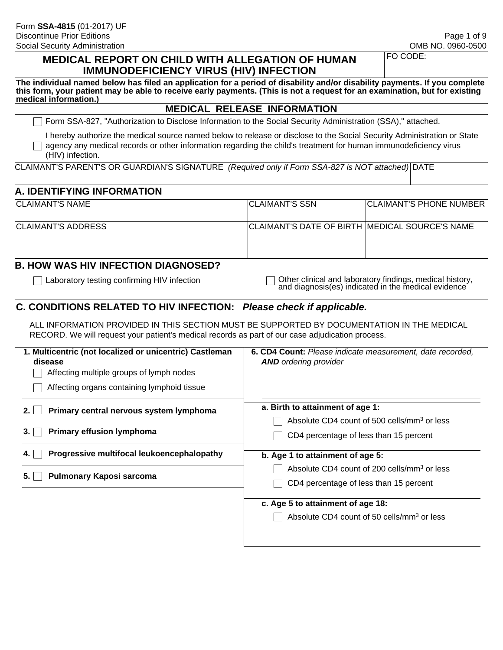#### **MEDICAL REPORT ON CHILD WITH ALLEGATION OF HUMAN IMMUNODEFICIENCY VIRUS (HIV) INFECTION**

FO CODE:

**The individual named below has filed an application for a period of disability and/or disability payments. If you complete this form, your patient may be able to receive early payments. (This is not a request for an examination, but for existing medical information.)**

#### **MEDICAL RELEASE INFORMATION**

Form SSA-827, "Authorization to Disclose Information to the Social Security Administration (SSA)," attached.

I hereby authorize the medical source named below to release or disclose to the Social Security Administration or State  $\Box$  agency any medical records or other information regarding the child's treatment for human immunodeficiency virus (HIV) infection.

CLAIMANT'S PARENT'S OR GUARDIAN'S SIGNATURE *(Required only if Form SSA-827 is NOT attached)* DATE

#### **A. IDENTIFYING INFORMATION**

| CLAIMANT'S NAME    | <b>ICLAIMANT'S SSN</b>                         | <b>CLAIMANT'S PHONE NUMBER</b> |
|--------------------|------------------------------------------------|--------------------------------|
|                    |                                                |                                |
| CLAIMANT'S ADDRESS | CLAIMANT'S DATE OF BIRTH MEDICAL SOURCE'S NAME |                                |
|                    |                                                |                                |
|                    |                                                |                                |

### **B. HOW WAS HIV INFECTION DIAGNOSED?**

Laboratory testing confirming HIV infection  $\Box$  Other clinical and laboratory findings, medical history, and diagnosis(es) indicated in the medical evidence

#### **C. CONDITIONS RELATED TO HIV INFECTION:** *Please check if applicable.*

ALL INFORMATION PROVIDED IN THIS SECTION MUST BE SUPPORTED BY DOCUMENTATION IN THE MEDICAL RECORD. We will request your patient's medical records as part of our case adjudication process.

| 1. Multicentric (not localized or unicentric) Castleman<br>disease<br>Affecting multiple groups of lymph nodes<br>Affecting organs containing lymphoid tissue | 6. CD4 Count: Please indicate measurement, date recorded,<br><b>AND</b> ordering provider         |
|---------------------------------------------------------------------------------------------------------------------------------------------------------------|---------------------------------------------------------------------------------------------------|
| Primary central nervous system lymphoma<br>2.                                                                                                                 | a. Birth to attainment of age 1:<br>Absolute CD4 count of 500 cells/mm <sup>3</sup> or less       |
| <b>Primary effusion lymphoma</b><br>3.                                                                                                                        | CD4 percentage of less than 15 percent                                                            |
| Progressive multifocal leukoencephalopathy<br>4.                                                                                                              | b. Age 1 to attainment of age 5:                                                                  |
| Pulmonary Kaposi sarcoma                                                                                                                                      | Absolute CD4 count of 200 cells/mm <sup>3</sup> or less<br>CD4 percentage of less than 15 percent |
|                                                                                                                                                               | c. Age 5 to attainment of age 18:                                                                 |
|                                                                                                                                                               | Absolute CD4 count of 50 cells/mm <sup>3</sup> or less                                            |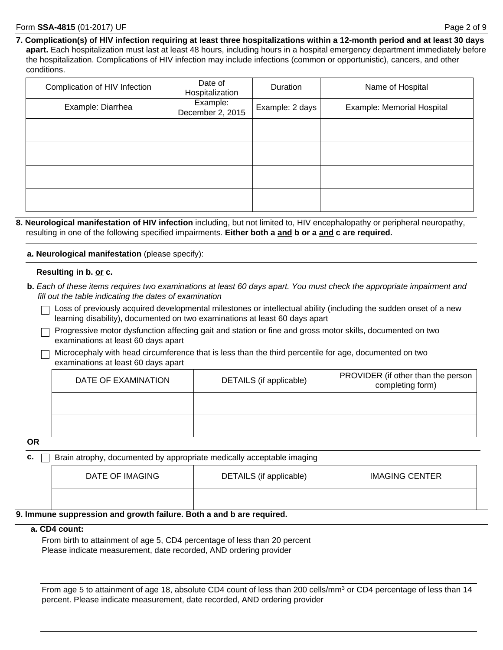**7. Complication(s) of HIV infection requiring at least three hospitalizations within a 12-month period and at least 30 days apart.** Each hospitalization must last at least 48 hours, including hours in a hospital emergency department immediately before the hospitalization. Complications of HIV infection may include infections (common or opportunistic), cancers, and other conditions.

| Complication of HIV Infection | Date of<br>Hospitalization   | Duration        | Name of Hospital           |
|-------------------------------|------------------------------|-----------------|----------------------------|
| Example: Diarrhea             | Example:<br>December 2, 2015 | Example: 2 days | Example: Memorial Hospital |
|                               |                              |                 |                            |
|                               |                              |                 |                            |
|                               |                              |                 |                            |
|                               |                              |                 |                            |

**8. Neurological manifestation of HIV infection** including, but not limited to, HIV encephalopathy or peripheral neuropathy, resulting in one of the following specified impairments. **Either both a and b or a and c are required.**

**a. Neurological manifestation** (please specify):

#### **Resulting in b. or c.**

- **b.** *Each of these items requires two examinations at least 60 days apart. You must check the appropriate impairment and fill out the table indicating the dates of examination*
	- $\Box$  Loss of previously acquired developmental milestones or intellectual ability (including the sudden onset of a new learning disability), documented on two examinations at least 60 days apart
	- $\Box$  Progressive motor dysfunction affecting gait and station or fine and gross motor skills, documented on two examinations at least 60 days apart
	- $\Box$  Microcephaly with head circumference that is less than the third percentile for age, documented on two examinations at least 60 days apart

| DATE OF EXAMINATION | DETAILS (if applicable) | PROVIDER (if other than the person  <br>completing form) |
|---------------------|-------------------------|----------------------------------------------------------|
|                     |                         |                                                          |
|                     |                         |                                                          |

**OR**

**c. Brain atrophy, documented by appropriate medically acceptable imaging** 

| DATE OF IMAGING | DETAILS (if applicable) | <b>IMAGING CENTER</b> |
|-----------------|-------------------------|-----------------------|
|                 |                         |                       |

#### **9. Immune suppression and growth failure. Both a and b are required.**

#### **a. CD4 count:**

From birth to attainment of age 5, CD4 percentage of less than 20 percent Please indicate measurement, date recorded, AND ordering provider

From age 5 to attainment of age 18, absolute CD4 count of less than 200 cells/mm<sup>3</sup> or CD4 percentage of less than 14 percent. Please indicate measurement, date recorded, AND ordering provider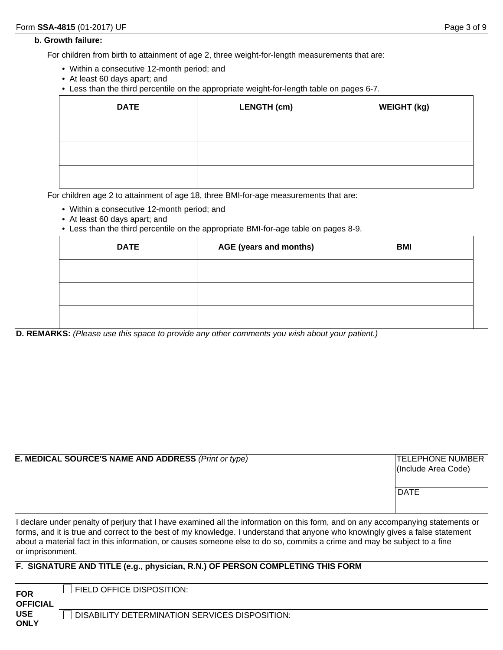#### **b. Growth failure:**

For children from birth to attainment of age 2, three weight-for-length measurements that are:

- Within a consecutive 12-month period; and
- At least 60 days apart; and
- Less than the third percentile on the appropriate weight-for-length table on pages 6-7.

| <b>DATE</b> | <b>LENGTH (cm)</b> | <b>WEIGHT (kg)</b> |
|-------------|--------------------|--------------------|
|             |                    |                    |
|             |                    |                    |
|             |                    |                    |

For children age 2 to attainment of age 18, three BMI-for-age measurements that are:

- Within a consecutive 12-month period; and
- At least 60 days apart; and
- Less than the third percentile on the appropriate BMI-for-age table on pages 8-9.

| <b>DATE</b> | AGE (years and months) | <b>BMI</b> |
|-------------|------------------------|------------|
|             |                        |            |
|             |                        |            |
|             |                        |            |

**D. REMARKS:** *(Please use this space to provide any other comments you wish about your patient.)*

| <b>E. MEDICAL SOURCE'S NAME AND ADDRESS (Print or type)</b> | <b>TELEPHONE NUMBER</b><br>(Include Area Code)<br><b>DATE</b> |
|-------------------------------------------------------------|---------------------------------------------------------------|
|                                                             |                                                               |

I declare under penalty of perjury that I have examined all the information on this form, and on any accompanying statements or forms, and it is true and correct to the best of my knowledge. I understand that anyone who knowingly gives a false statement about a material fact in this information, or causes someone else to do so, commits a crime and may be subject to a fine or imprisonment.

#### **F. SIGNATURE AND TITLE (e.g., physician, R.N.) OF PERSON COMPLETING THIS FORM**

| <b>FOR</b><br><b>OFFICIAL</b> | <b>FIELD OFFICE DISPOSITION:</b>               |
|-------------------------------|------------------------------------------------|
| <b>USE</b><br><b>ONLY</b>     | DISABILITY DETERMINATION SERVICES DISPOSITION: |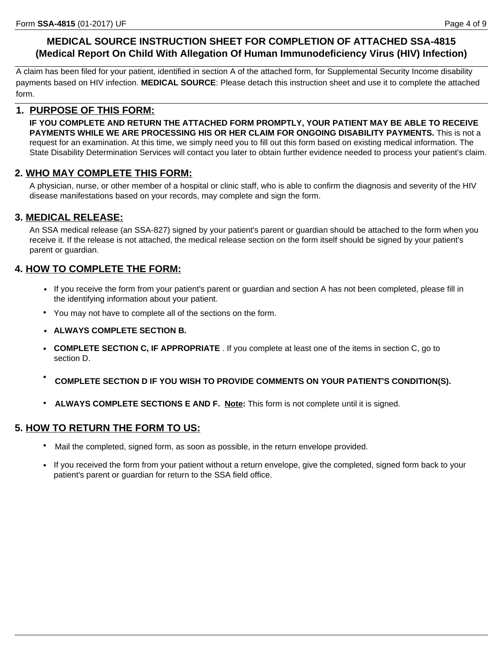## **MEDICAL SOURCE INSTRUCTION SHEET FOR COMPLETION OF ATTACHED SSA-4815 (Medical Report On Child With Allegation Of Human Immunodeficiency Virus (HIV) Infection)**

A claim has been filed for your patient, identified in section A of the attached form, for Supplemental Security Income disability payments based on HIV infection. **MEDICAL SOURCE**: Please detach this instruction sheet and use it to complete the attached form.

#### **1. PURPOSE OF THIS FORM:**

**IF YOU COMPLETE AND RETURN THE ATTACHED FORM PROMPTLY, YOUR PATIENT MAY BE ABLE TO RECEIVE PAYMENTS WHILE WE ARE PROCESSING HIS OR HER CLAIM FOR ONGOING DISABILITY PAYMENTS.** This is not a request for an examination. At this time, we simply need you to fill out this form based on existing medical information. The State Disability Determination Services will contact you later to obtain further evidence needed to process your patient's claim.

### **2. WHO MAY COMPLETE THIS FORM:**

A physician, nurse, or other member of a hospital or clinic staff, who is able to confirm the diagnosis and severity of the HIV disease manifestations based on your records, may complete and sign the form.

### **3. MEDICAL RELEASE:**

An SSA medical release (an SSA-827) signed by your patient's parent or guardian should be attached to the form when you receive it. If the release is not attached, the medical release section on the form itself should be signed by your patient's parent or guardian.

## **4. HOW TO COMPLETE THE FORM:**

- If you receive the form from your patient's parent or guardian and section A has not been completed, please fill in the identifying information about your patient.
- You may not have to complete all of the sections on the form.
- **ALWAYS COMPLETE SECTION B.**
- **COMPLETE SECTION C, IF APPROPRIATE** . If you complete at least one of the items in section C, go to section D.
- **COMPLETE SECTION D IF YOU WISH TO PROVIDE COMMENTS ON YOUR PATIENT'S CONDITION(S).**
- **ALWAYS COMPLETE SECTIONS E AND F. Note:** This form is not complete until it is signed.

#### **5. HOW TO RETURN THE FORM TO US:**

- Mail the completed, signed form, as soon as possible, in the return envelope provided.
- If you received the form from your patient without a return envelope, give the completed, signed form back to your patient's parent or guardian for return to the SSA field office.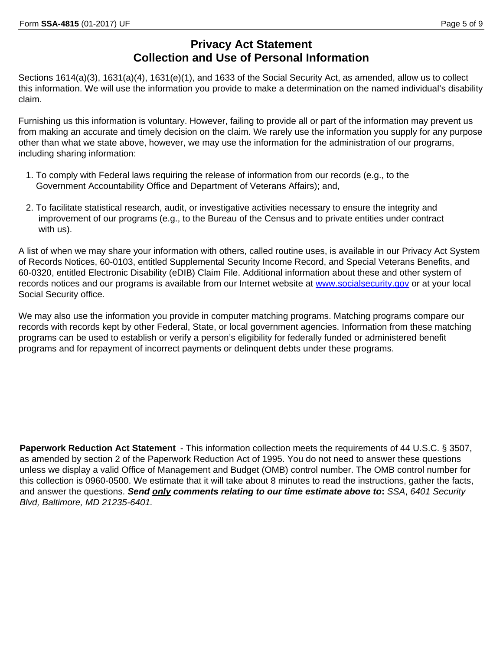## **Privacy Act Statement Collection and Use of Personal Information**

Sections 1614(a)(3), 1631(a)(4), 1631(e)(1), and 1633 of the Social Security Act, as amended, allow us to collect this information. We will use the information you provide to make a determination on the named individual's disability claim.

Furnishing us this information is voluntary. However, failing to provide all or part of the information may prevent us from making an accurate and timely decision on the claim. We rarely use the information you supply for any purpose other than what we state above, however, we may use the information for the administration of our programs, including sharing information:

- 1. To comply with Federal laws requiring the release of information from our records (e.g., to the Government Accountability Office and Department of Veterans Affairs); and,
- 2. To facilitate statistical research, audit, or investigative activities necessary to ensure the integrity and improvement of our programs (e.g., to the Bureau of the Census and to private entities under contract with us).

A list of when we may share your information with others, called routine uses, is available in our Privacy Act System of Records Notices, 60-0103, entitled Supplemental Security Income Record, and Special Veterans Benefits, and 60-0320, entitled Electronic Disability (eDIB) Claim File. Additional information about these and other system of records notices and our programs is available from our Internet website at www.socialsecurity.gov or at your local Social Security office.

We may also use the information you provide in computer matching programs. Matching programs compare our records with records kept by other Federal, State, or local government agencies. Information from these matching programs can be used to establish or verify a person's eligibility for federally funded or administered benefit programs and for repayment of incorrect payments or delinquent debts under these programs.

**Paperwork Reduction Act Statement** - This information collection meets the requirements of 44 U.S.C. § 3507, as amended by section 2 of the Paperwork Reduction Act of 1995. You do not need to answer these questions unless we display a valid Office of Management and Budget (OMB) control number. The OMB control number for this collection is 0960-0500. We estimate that it will take about 8 minutes to read the instructions, gather the facts, and answer the questions. *Send only comments relating to our time estimate above to***:** *SSA*, *6401 Security Blvd, Baltimore, MD 21235-6401.*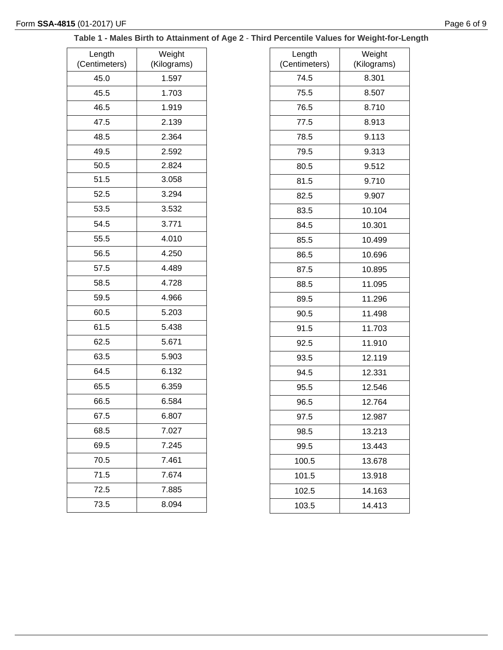### **Table 1 - Males Birth to Attainment of Age 2** - **Third Percentile Values for Weight-for-Length**

| Length<br>(Centimeters) | Weight<br>(Kilograms) |
|-------------------------|-----------------------|
| 45.0                    | 1.597                 |
| 45.5                    | 1.703                 |
| 46.5                    | 1.919                 |
| 47.5                    | 2.139                 |
| 48.5                    | 2.364                 |
| 49.5                    | 2.592                 |
| 50.5                    | 2.824                 |
| 51.5                    | 3.058                 |
| 52.5                    | 3.294                 |
| 53.5                    | 3.532                 |
| 54.5                    | 3.771                 |
| 55.5                    | 4.010                 |
| 56.5                    | 4.250                 |
| 57.5                    | 4.489                 |
| 58.5                    | 4.728                 |
| 59.5                    | 4.966                 |
| 60.5                    | 5.203                 |
| 61.5                    | 5.438                 |
| 62.5                    | 5.671                 |
| 63.5                    | 5.903                 |
| 64.5                    | 6.132                 |
| 65.5                    | 6.359                 |
| 66.5                    | 6.584                 |
| 67.5                    | 6.807                 |
| 68.5                    | 7.027                 |
| 69.5                    | 7.245                 |
| 70.5                    | 7.461                 |
| 71.5                    | 7.674                 |
| 72.5                    | 7.885                 |
| 73.5                    | 8.094                 |

| Length        | Weight      |
|---------------|-------------|
| (Centimeters) | (Kilograms) |
| 74.5          | 8.301       |
| 75.5          | 8.507       |
| 76.5          | 8.710       |
| 77.5          | 8.913       |
| 78.5          | 9.113       |
| 79.5          | 9.313       |
| 80.5          | 9.512       |
| 81.5          | 9.710       |
| 82.5          | 9.907       |
| 83.5          | 10.104      |
| 84.5          | 10.301      |
| 85.5          | 10.499      |
| 86.5          | 10.696      |
| 87.5          | 10.895      |
| 88.5          | 11.095      |
| 89.5          | 11.296      |
| 90.5          | 11.498      |
| 91.5          | 11.703      |
| 92.5          | 11.910      |
| 93.5          | 12.119      |
| 94.5          | 12.331      |
| 95.5          | 12.546      |
| 96.5          | 12.764      |
| 97.5          | 12.987      |
| 98.5          | 13.213      |
| 99.5          | 13.443      |
| 100.5         | 13.678      |
| 101.5         | 13.918      |
| 102.5         | 14.163      |
| 103.5         | 14.413      |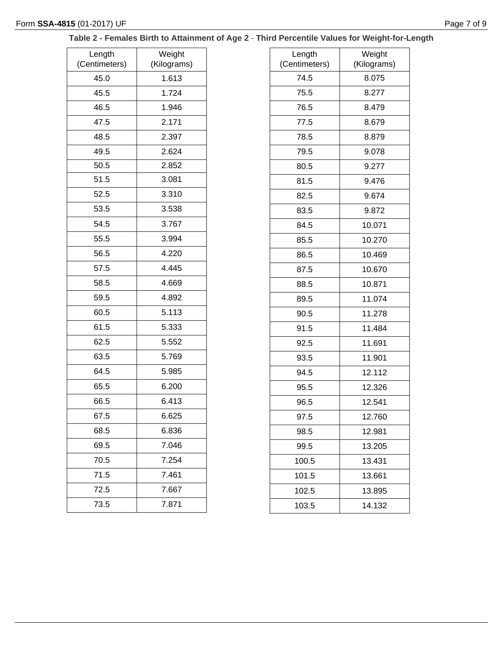### **Table 2 - Females Birth to Attainment of Age 2** - **Third Percentile Values for Weight-for-Length**

| Length<br>(Centimeters) | Weight<br>(Kilograms) |
|-------------------------|-----------------------|
| 45.0                    | 1.613                 |
| 45.5                    | 1.724                 |
| 46.5                    | 1.946                 |
| 47.5                    | 2.171                 |
| 48.5                    | 2.397                 |
| 49.5                    | 2.624                 |
| 50.5                    | 2.852                 |
| 51.5                    | 3.081                 |
| 52.5                    | 3.310                 |
| 53.5                    | 3.538                 |
| 54.5                    | 3.767                 |
| 55.5                    | 3.994                 |
| 56.5                    | 4.220                 |
| 57.5                    | 4.445                 |
| 58.5                    | 4.669                 |
| 59.5                    | 4.892                 |
| 60.5                    | 5.113                 |
| 61.5                    | 5.333                 |
| 62.5                    | 5.552                 |
| 63.5                    | 5.769                 |
| 64.5                    | 5.985                 |
| 65.5                    | 6.200                 |
| 66.5                    | 6.413                 |
| 67.5                    | 6.625                 |
| 68.5                    | 6.836                 |
| 69.5                    | 7.046                 |
| 70.5                    | 7.254                 |
| 71.5                    | 7.461                 |
| 72.5                    | 7.667                 |
| 73.5                    | 7.871                 |

| Length        | Weight      |
|---------------|-------------|
| (Centimeters) | (Kilograms) |
| 74.5          | 8.075       |
| 75.5          | 8.277       |
| 76.5          | 8.479       |
| 77.5          | 8.679       |
| 78.5          | 8.879       |
| 79.5          | 9.078       |
| 80.5          | 9.277       |
| 81.5          | 9.476       |
| 82.5          | 9.674       |
| 83.5          | 9.872       |
| 84.5          | 10.071      |
| 85.5          | 10.270      |
| 86.5          | 10.469      |
| 87.5          | 10.670      |
| 88.5          | 10.871      |
| 89.5          | 11.074      |
| 90.5          | 11.278      |
| 91.5          | 11.484      |
| 92.5          | 11.691      |
| 93.5          | 11.901      |
| 94.5          | 12.112      |
| 95.5          | 12.326      |
| 96.5          | 12.541      |
| 97.5          | 12.760      |
| 98.5          | 12.981      |
| 99.5          | 13.205      |
| 100.5         | 13.431      |
| 101.5         | 13.661      |
| 102.5         | 13.895      |
| 103.5         | 14.132      |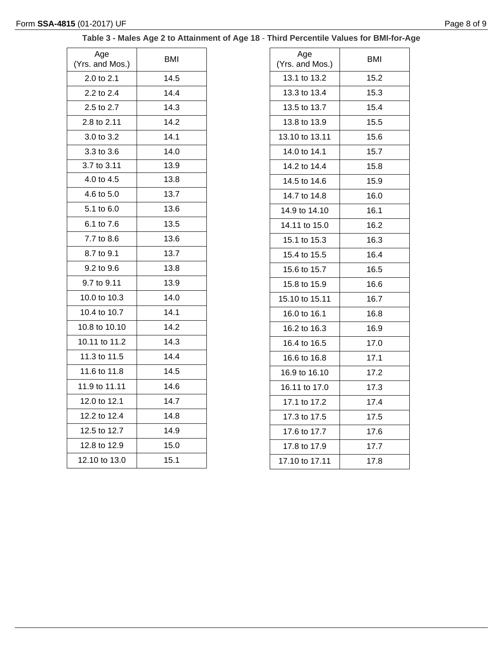# **Table 3 - Males Age 2 to Attainment of Age 18** - **Third Percentile Values for BMI-for-Age**

| Age<br>(Yrs. and Mos.) | BMI  |
|------------------------|------|
| 2.0 to 2.1             | 14.5 |
| 2.2 to 2.4             | 14.4 |
| 2.5 to 2.7             | 14.3 |
| 2.8 to 2.11            | 14.2 |
| 3.0 to 3.2             | 14.1 |
| 3.3 to 3.6             | 14.0 |
| 3.7 to 3.11            | 13.9 |
| 4.0 to 4.5             | 13.8 |
| 4.6 to 5.0             | 13.7 |
| 5.1 to 6.0             | 13.6 |
| 6.1 to 7.6             | 13.5 |
| 7.7 to 8.6             | 13.6 |
| 8.7 to 9.1             | 13.7 |
| 9.2 to 9.6             | 13.8 |
| 9.7 to 9.11            | 13.9 |
| 10.0 to 10.3           | 14.0 |
| 10.4 to 10.7           | 14.1 |
| 10.8 to 10.10          | 14.2 |
| 10.11 to 11.2          | 14.3 |
| 11.3 to 11.5           | 14.4 |
| 11.6 to 11.8           | 14.5 |
| 11.9 to 11.11          | 14.6 |
| 12.0 to 12.1           | 14.7 |
| 12.2 to 12.4           | 14.8 |
| 12.5 to 12.7           | 14.9 |
| 12.8 to 12.9           | 15.0 |
| 12.10 to 13.0          | 15.1 |

| Age<br>(Yrs. and Mos.) | BMI  |
|------------------------|------|
| 13.1 to 13.2           | 15.2 |
| 13.3 to 13.4           | 15.3 |
| 13.5 to 13.7           | 15.4 |
| 13.8 to 13.9           | 15.5 |
| 13.10 to 13.11         | 15.6 |
| 14.0 to 14.1           | 15.7 |
| 14.2 to 14.4           | 15.8 |
| 14.5 to 14.6           | 15.9 |
| 14.7 to 14.8           | 16.0 |
| 14.9 to 14.10          | 16.1 |
| 14.11 to 15.0          | 16.2 |
| 15.1 to 15.3           | 16.3 |
| 15.4 to 15.5           | 16.4 |
| 15.6 to 15.7           | 16.5 |
| 15.8 to 15.9           | 16.6 |
| 15.10 to 15.11         | 16.7 |
| 16.0 to 16.1           | 16.8 |
| 16.2 to 16.3           | 16.9 |
| 16.4 to 16.5           | 17.0 |
| 16.6 to 16.8           | 17.1 |
| 16.9 to 16.10          | 17.2 |
| 16.11 to 17.0          | 17.3 |
| 17.1 to 17.2           | 17.4 |
| 17.3 to 17.5           | 17.5 |
| 17.6 to 17.7           | 17.6 |
| 17.8 to 17.9           | 17.7 |
| 17.10 to 17.11         | 17.8 |